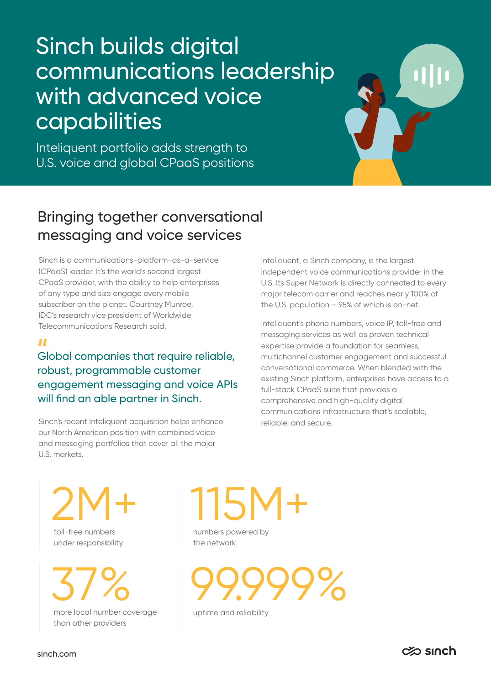## Sinch builds digital communications leadership with advanced voice capabilities

Inteliquent portfolio adds strength to U.S. voice and global CPaaS positions

## Bringing together conversational messaging and voice services

Sinch is a communications-platform-as-a-service (CPaaS) leader. It's the world's second largest CPaaS provider, with the ability to help enterprises of any type and size engage every mobile subscriber on the planet. Courtney Munroe, IDC's research vice president of Worldwide Telecommunications Research said,

#### $\blacksquare$

Global companies that require reliable, robust, programmable customer engagement messaging and voice APIs will find an able partner in Sinch.

Sinch's recent Inteliquent acquisition helps enhance our North American position with combined voice and messaging portfolios that cover all the major U.S. markets.

Inteliquent, a Sinch company, is the largest independent voice communications provider in the U.S. Its Super Network is directly connected to every major telecom carrier and reaches nearly 100% of the U.S. population – 95% of which is on-net.

Inteliquent's phone numbers, voice IP, toll-free and messaging services as well as proven technical expertise provide a foundation for seamless, multichannel customer engagement and successful conversational commerce. When blended with the existing Sinch platform, enterprises have access to a full-stack CPaaS suite that provides a comprehensive and high-quality digital communications infrastructure that's scalable, reliable, and secure.

2M+

toll-free numbers under responsibility

37%

more local number coverage than other providers

# 115M+

numbers powered by the network



uptime and reliability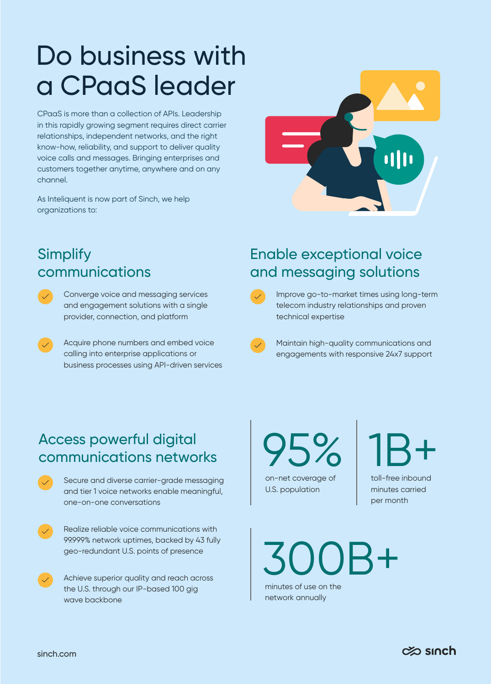## Do business with a CPaaS leader

CPaaS is more than a collection of APIs. Leadership in this rapidly growing segment requires direct carrier relationships, independent networks, and the right know-how, reliability, and support to deliver quality voice calls and messages. Bringing enterprises and customers together anytime, anywhere and on any channel.

As Inteliquent is now part of Sinch, we help organizations to:



### **Simplify** communications

- Converge voice and messaging services and engagement solutions with a single provider, connection, and platform
	- Acquire phone numbers and embed voice calling into enterprise applications or business processes using API-driven services

## Enable exceptional voice and messaging solutions



Improve go-to-market times using long-term telecom industry relationships and proven technical expertise

Maintain high-quality communications and engagements with responsive 24x7 support

## Access powerful digital communications networks

Secure and diverse carrier-grade messaging and tier 1 voice networks enable meaningful, one-on-one conversations

Realize reliable voice communications with 99.999% network uptimes, backed by 43 fully geo-redundant U.S. points of presence

Achieve superior quality and reach across the U.S. through our IP-based 100 gig wave backbone

on-net coverage of U.S. population 95%

toll-free inbound 1B+

minutes carried per month

minutes of use on the 00 B+

network annually

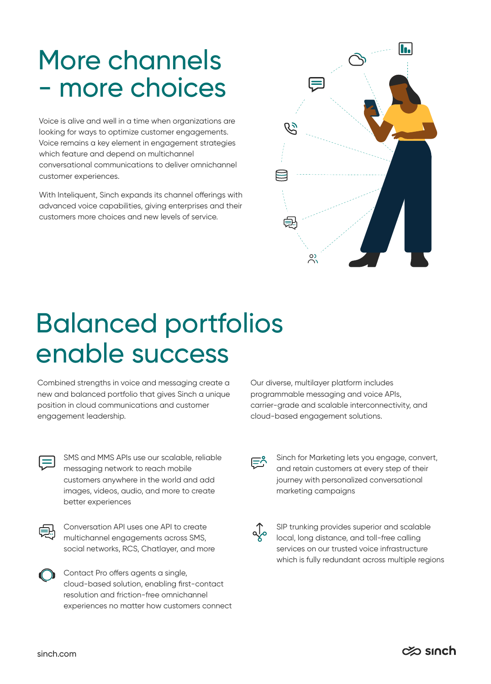## More channels - more choices

Voice is alive and well in a time when organizations are looking for ways to optimize customer engagements. Voice remains a key element in engagement strategies which feature and depend on multichannel conversational communications to deliver omnichannel customer experiences.

With Inteliquent, Sinch expands its channel offerings with advanced voice capabilities, giving enterprises and their customers more choices and new levels of service.



## Balanced portfolios enable success

Combined strengths in voice and messaging create a new and balanced portfolio that gives Sinch a unique position in cloud communications and customer engagement leadership.

Our diverse, multilayer platform includes programmable messaging and voice APIs, carrier-grade and scalable interconnectivity, and cloud-based engagement solutions.

|  | ٧ |
|--|---|

SMS and MMS APIs use our scalable, reliable messaging network to reach mobile customers anywhere in the world and add images, videos, audio, and more to create better experiences



Conversation API uses one API to create multichannel engagements across SMS, social networks, RCS, Chatlayer, and more



Sinch for Marketing lets you engage, convert, and retain customers at every step of their journey with personalized conversational marketing campaigns

⊫^

SIP trunking provides superior and scalable local, long distance, and toll-free calling services on our trusted voice infrastructure which is fully redundant across multiple regions